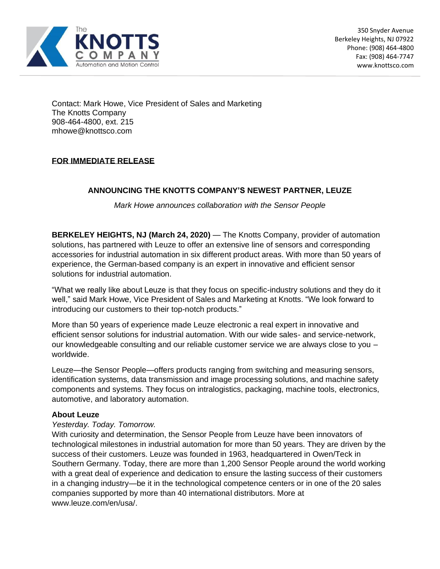

Contact: Mark Howe, Vice President of Sales and Marketing The Knotts Company 908-464-4800, ext. 215 mhowe@knottsco.com

## **FOR IMMEDIATE RELEASE**

### **ANNOUNCING THE KNOTTS COMPANY'S NEWEST PARTNER, LEUZE**

*Mark Howe announces collaboration with the Sensor People* 

**BERKELEY HEIGHTS, NJ (March 24, 2020)** — The Knotts Company, provider of automation solutions, has partnered with Leuze to offer an extensive line of sensors and corresponding accessories for industrial automation in six different product areas. With more than 50 years of experience, the German-based company is an expert in innovative and efficient sensor solutions for industrial automation.

"What we really like about Leuze is that they focus on specific-industry solutions and they do it well," said Mark Howe, Vice President of Sales and Marketing at Knotts. "We look forward to introducing our customers to their top-notch products."

More than 50 years of experience made Leuze electronic a real expert in innovative and efficient sensor solutions for industrial automation. With our wide sales- and service-network, our knowledgeable consulting and our reliable customer service we are always close to you – worldwide.

Leuze—the Sensor People—offers products ranging from switching and measuring sensors, identification systems, data transmission and image processing solutions, and machine safety components and systems. They focus on intralogistics, packaging, machine tools, electronics, automotive, and laboratory automation.

#### **About Leuze**

#### *Yesterday. Today. Tomorrow.*

With curiosity and determination, the Sensor People from Leuze have been innovators of technological milestones in industrial automation for more than 50 years. They are driven by the success of their customers. Leuze was founded in 1963, headquartered in Owen/Teck in Southern Germany. Today, there are more than 1,200 Sensor People around the world working with a great deal of experience and dedication to ensure the lasting success of their customers in a changing industry—be it in the technological competence centers or in one of the 20 sales companies supported by more than 40 international distributors. More at www.leuze.com/en/usa/.